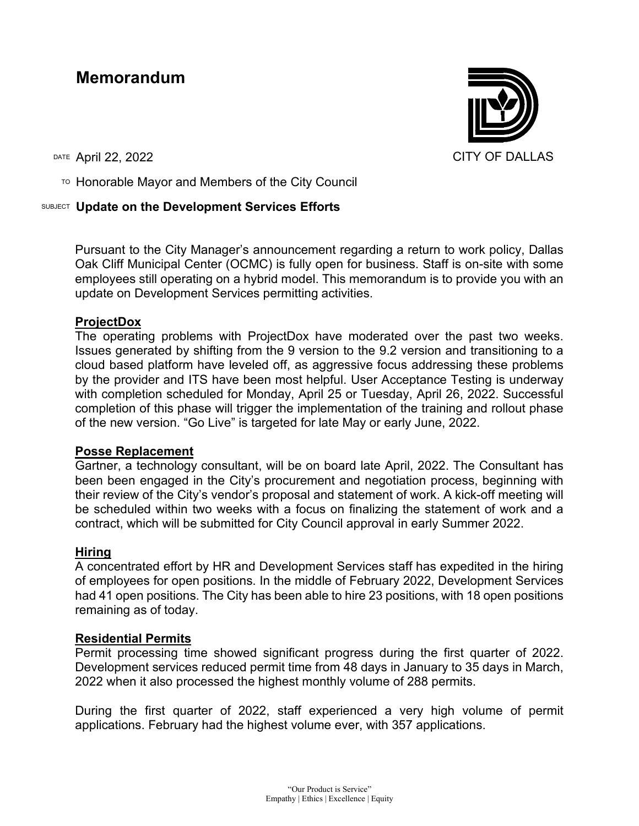# **Memorandum**

TO Honorable Mayor and Members of the City Council

## SUBJECT **Update on the Development Services Efforts**

Pursuant to the City Manager's announcement regarding a return to work policy, Dallas Oak Cliff Municipal Center (OCMC) is fully open for business. Staff is on-site with some employees still operating on a hybrid model. This memorandum is to provide you with an update on Development Services permitting activities.

## **ProjectDox**

The operating problems with ProjectDox have moderated over the past two weeks. Issues generated by shifting from the 9 version to the 9.2 version and transitioning to a cloud based platform have leveled off, as aggressive focus addressing these problems by the provider and ITS have been most helpful. User Acceptance Testing is underway with completion scheduled for Monday, April 25 or Tuesday, April 26, 2022. Successful completion of this phase will trigger the implementation of the training and rollout phase of the new version. "Go Live" is targeted for late May or early June, 2022.

#### **Posse Replacement**

Gartner, a technology consultant, will be on board late April, 2022. The Consultant has been been engaged in the City's procurement and negotiation process, beginning with their review of the City's vendor's proposal and statement of work. A kick-off meeting will be scheduled within two weeks with a focus on finalizing the statement of work and a contract, which will be submitted for City Council approval in early Summer 2022.

#### **Hiring**

A concentrated effort by HR and Development Services staff has expedited in the hiring of employees for open positions. In the middle of February 2022, Development Services had 41 open positions. The City has been able to hire 23 positions, with 18 open positions remaining as of today.

#### **Residential Permits**

Permit processing time showed significant progress during the first quarter of 2022. Development services reduced permit time from 48 days in January to 35 days in March, 2022 when it also processed the highest monthly volume of 288 permits.

During the first quarter of 2022, staff experienced a very high volume of permit applications. February had the highest volume ever, with 357 applications.